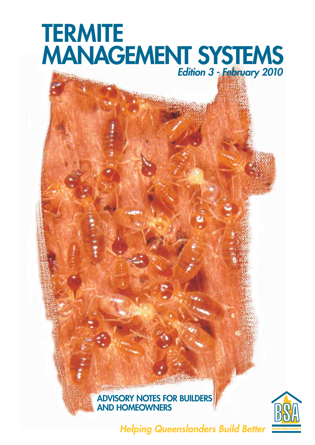# **TERMITE** MANAGEMENT SYSTEMS *Edition 3 - February 2010*

ADVISORY NOTES FOR BUILDERS AND HOMEOWNERS



*Helping Queenslanders Build Better*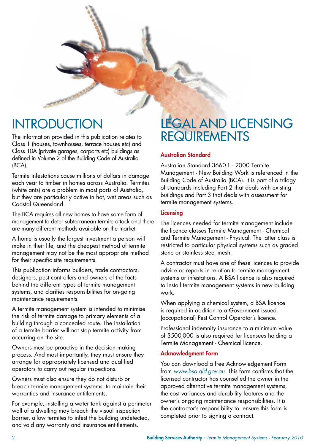The information provided in this publication relates to Class 1 (houses, townhouses, terrace houses etc) and Class 10A (private garages, carports etc) buildings as defined in Volume 2 of the Building Code of Australia (BCA).

Termite infestations cause millions of dollars in damage each year to timber in homes across Australia. Termites (white ants) are a problem in most parts of Australia, but they are particularly active in hot, wet areas such as Coastal Queensland.

The BCA requires all new homes to have some form of management to deter subterranean termite attack and there are many different methods available on the market.

A home is usually the largest investment a person will make in their life, and the cheapest method of termite management may not be the most appropriate method for their specific site requirements.

This publication informs builders, trade contractors, designers, pest controllers and owners of the facts behind the different types of termite management systems, and clarifies responsibilities for on-going maintenance requirements.

A termite management system is intended to minimise the risk of termite damage to primary elements of a building through a concealed route. The installation of a termite barrier will not stop termite activity from occurring on the site.

Owners must be proactive in the decision making process. And most importantly, they must ensure they arrange for appropriately licensed and qualified operators to carry out regular inspections.

Owners must also ensure they do not disturb or breach termite management systems, to maintain their warranties and insurance entitlements.

For example, installing a water tank against a perimeter wall of a dwelling may breach the visual inspection barrier, allow termites to infest the building undetected, and void any warranty and insurance entitlements.

### INTRODUCTION LEGAL AND LICENSING REQUIREMENTS

#### Australian Standard

Australian Standard 3660.1 - 2000 Termite Management - New Building Work is referenced in the Building Code of Australia (BCA). It is part of a trilogy of standards including Part 2 that deals with existing buildings and Part 3 that deals with assessment for termite management systems.

#### **Licensing**

The licences needed for termite management include the licence classes Termite Management - Chemical and Termite Management - Physical. The latter class is restricted to particular physical systems such as graded stone or stainless steel mesh.

A contractor must have one of these licences to provide advice or reports in relation to termite management systems or infestations. A BSA licence is also required to install termite management systems in new building work.

When applying a chemical system, a BSA licence is required in addition to a Government issued (occupational) Pest Control Operator's licence.

Professional indemnity insurance to a minimum value of \$500,000 is also required for licensees holding a Termite Management - Chemical licence.

#### Acknowledgment Form

You can download a free Acknowledgement Form from *www.bsa.qld.gov.au.* This form confirms that the licensed contractor has counselled the owner in the approved alternative termite management systems, the cost variances and durability features and the owner's ongoing maintenance responsibilities. It is the contractor's responsibility to ensure this form is completed prior to signing a contract.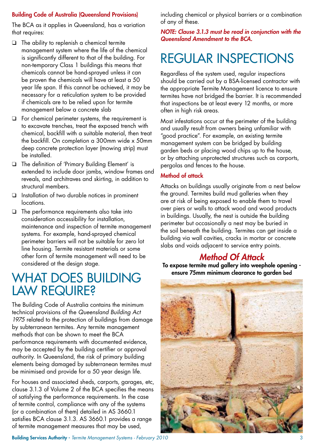#### Building Code of Australia (Queensland Provisions)

The BCA as it applies in Queensland, has a variation that requires:

- ❑ The ability to replenish a chemical termite management system where the life of the chemical is significantly different to that of the building. For non-temporary Class 1 buildings this means that chemicals cannot be hand-sprayed unless it can be proven the chemicals will have at least a 50 year life span. If this cannot be achieved, it may be necessary for a reticulation system to be provided if chemicals are to be relied upon for termite management below a concrete slab
- ❑ For chemical perimeter systems, the requirement is to excavate trenches, treat the exposed trench with chemical, backfill with a suitable material, then treat the backfill. On completion a 300mm wide x 50mm deep concrete protection layer (mowing strip) must be installed.
- ❑ The definition of 'Primary Building Element' is extended to include door jambs, window frames and reveals, and architraves and skirting, in addition to structural members.
- ❑ Installation of two durable notices in prominent locations.
- ❑ The performance requirements also take into consideration accessibility for installation, maintenance and inspection of termite management systems. For example, hand-sprayed chemical perimeter barriers will not be suitable for zero lot line housing. Termite resistant materials or some other form of termite management will need to be considered at the design stage.

### WHAT DOES BUILDING LAW REQUIRE?

The Building Code of Australia contains the minimum technical provisions of the *Queensland Building Act 1975* related to the protection of buildings from damage by subterranean termites. Any termite management methods that can be shown to meet the BCA performance requirements with documented evidence, may be accepted by the building certifier or approval authority. In Queensland, the risk of primary building elements being damaged by subterranean termites must be minimised and provide for a 50 year design life.

For houses and associated sheds, carports, garages, etc, clause 3.1.3 of Volume 2 of the BCA specifies the means of satisfying the performance requirements. In the case of termite control, compliance with any of the systems (or a combination of them) detailed in AS 3660.1 satisfies BCA clause 3.1.3. AS 3660.1 provides a range of termite management measures that may be used,

including chemical or physical barriers or a combination of any of these.

*NOTE: Clause 3.1.3 must be read in conjunction with the Queensland Amendment to the BCA.*

### REGULAR INSPECTIONS

Regardless of the system used, regular inspections should be carried out by a BSA-licensed contractor with the appropriate Termite Management licence to ensure termites have not bridged the barrier. It is recommended that inspections be at least every 12 months, or more often in high risk areas.

Most infestations occur at the perimeter of the building and usually result from owners being unfamiliar with "good practice". For example, an existing termite management system can be bridged by building garden beds or placing wood chips up to the house, or by attaching unprotected structures such as carports, pergolas and fences to the house.

#### Method of attack

Attacks on buildings usually originate from a nest below the ground. Termites build mud galleries when they are at risk of being exposed to enable them to travel over piers or walls to attack wood and wood products in buildings. Usually, the nest is outside the building perimeter but occasionally a nest may be buried in the soil beneath the building. Termites can get inside a building via wall cavities, cracks in mortar or concrete slabs and voids adjacent to service entry points.

### *Method Of Attack*

To expose termite mud gallery into weephole opening ensure 75mm minimum clearance to garden bed

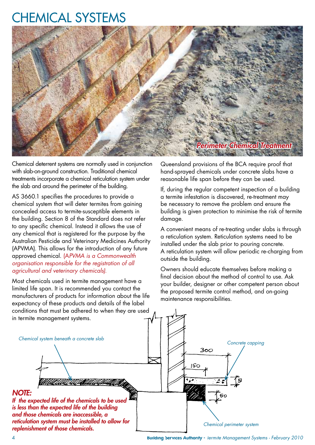### CHEMICAL SYSTEMS



Chemical deterrent systems are normally used in conjunction with slab-on-ground construction. Traditional chemical treatments incorporate a chemical reticulation system under the slab and around the perimeter of the building.

AS 3660.1 specifies the procedures to provide a chemical system that will deter termites from gaining concealed access to termite-susceptible elements in the building. Section 8 of the Standard does not refer to any specific chemical. Instead it allows the use of any chemical that is registered for the purpose by the Australian Pesticide and Veterinary Medicines Authority (APVMA). This allows for the introduction of any future approved chemical. (A*PVMA is a Commonwealth organisation responsible for the registration of all agricultural and veterinary chemicals).*

Most chemicals used in termite management have a limited life span. It is recommended you contact the manufacturers of products for information about the life expectancy of these products and details of the label conditions that must be adhered to when they are used

Queensland provisions of the BCA require proof that hand-sprayed chemicals under concrete slabs have a reasonable life span before they can be used.

If, during the regular competent inspection of a building a termite infestation is discovered, re-treatment may be necessary to remove the problem and ensure the building is given protection to minimise the risk of termite damage.

A convenient means of re-treating under slabs is through a reticulation system. Reticulation systems need to be installed under the slab prior to pouring concrete. A reticulation system will allow periodic re-charging from outside the building.

Owners should educate themselves before making a final decision about the method of control to use. Ask your builder, designer or other competent person about the proposed termite control method, and on-going maintenance responsibilities.

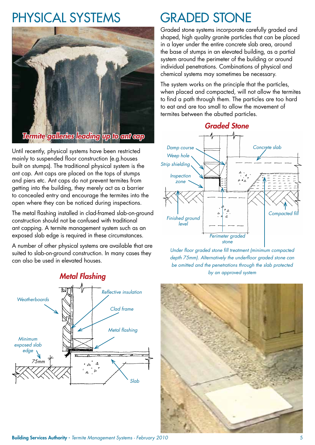### PHYSICAL SYSTEMS



Until recently, physical systems have been restricted mainly to suspended floor construction (e.g.houses built on stumps). The traditional physical system is the ant cap. Ant caps are placed on the tops of stumps and piers etc. Ant caps do not prevent termites from getting into the building, they merely act as a barrier to concealed entry and encourage the termites into the open where they can be noticed during inspections.

The metal flashing installed in clad-framed slab-on-ground construction should not be confused with traditional ant capping. A termite management system such as an exposed slab edge is required in these circumstances.

A number of other physical systems are available that are suited to slab-on-ground construction. In many cases they can also be used in elevated houses.



## GRADED STONE

Graded stone systems incorporate carefully graded and shaped, high quality granite particles that can be placed in a layer under the entire concrete slab area, around the base of stumps in an elevated building, as a partial system around the perimeter of the building or around individual penetrations. Combinations of physical and chemical systems may sometimes be necessary.

The system works on the principle that the particles, when placed and compacted, will not allow the termites to find a path through them. The particles are too hard to eat and are too small to allow the movement of termites between the abutted particles.



*Under floor graded stone fill treatment (minimum compacted depth 75mm). Alternatively the underfloor graded stone can be omitted and the penetrations through the slab protected by an approved system*

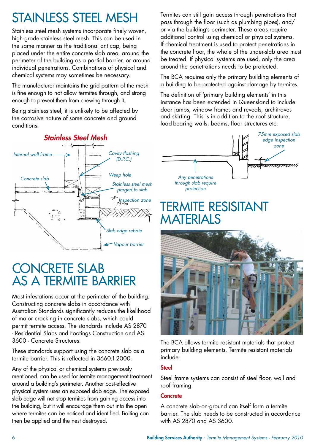## STAINLESS STEEL MESH

Stainless steel mesh systems incorporate finely woven, high-grade stainless steel mesh. This can be used in the same manner as the traditional ant cap, being placed under the entire concrete slab area, around the perimeter of the building as a partial barrier, or around individual penetrations. Combinations of physical and chemical systems may sometimes be necessary.

The manufacturer maintains the grid pattern of the mesh is fine enough to not allow termites through, and strong enough to prevent them from chewing through it.

Being stainless steel, it is unlikely to be affected by the corrosive nature of some concrete and ground conditions.



### CONCRETE SLAB AS A TERMITE BARRIER

Most infestations occur at the perimeter of the building. Constructing concrete slabs in accordance with Australian Standards significantly reduces the likelihood of major cracking in concrete slabs, which could permit termite access. The standards include AS 2870 - Residential Slabs and Footings Construction and AS 3600 - Concrete Structures.

These standards support using the concrete slab as a termite barrier. This is reflected in 3660.1-2000.

Any of the physical or chemical systems previously mentioned can be used for termite management treatment around a building's perimeter. Another cost-effective physical system uses an exposed slab edge. The exposed slab edge will not stop termites from gaining access into the building, but it will encourage them out into the open where termites can be noticed and identified. Baiting can then be applied and the nest destroyed.

Termites can still gain access through penetrations that pass through the floor (such as plumbing pipes), and/ or via the building's perimeter. These areas require additional control using chemical or physical systems. If chemical treatment is used to protect penetrations in the concrete floor, the whole of the under-slab area must be treated. If physical systems are used, only the area around the penetrations needs to be protected.

The BCA requires only the primary building elements of a building to be protected against damage by termites.

The definition of 'primary building elements' in this instance has been extended in Queensland to include door jambs, window frames and reveals, architraves and skirting. This is in addition to the roof structure, load-bearing walls, beams, floor structures etc.



### TERMITE RESISITANT MATERIALS



The BCA allows termite resistant materials that protect primary building elements. Termite resistant materials include:

#### **Steel**

Steel frame systems can consist of steel floor, wall and roof framing.

#### **Concrete**

A concrete slab-on-ground can itself form a termite barrier. The slab needs to be constructed in accordance with AS 2870 and AS 3600.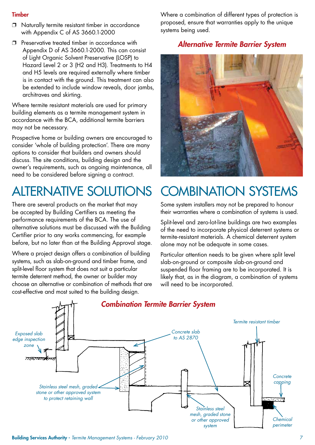#### **Timber**

- $\Box$  Naturally termite resistant timber in accordance with Appendix C of AS 3660.1-2000
- $\square$  Preservative treated timber in accordance with Appendix D of AS 3660.1-2000. This can consist of Light Organic Solvent Preservative (LOSP) to Hazard Level 2 or 3 (H2 and H3). Treatments to H4 and H5 levels are required externally where timber is in contact with the ground. This treatment can also be extended to include window reveals, door jambs, architraves and skirting.

Where termite resistant materials are used for primary building elements as a termite management system in accordance with the BCA, additional termite barriers may not be necessary.

Prospective home or building owners are encouraged to consider 'whole of building protection'. There are many options to consider that builders and owners should discuss. The site conditions, building design and the owner's requirements, such as ongoing maintenance, all need to be considered before signing a contract.

## ALTERNATIVE SOLUTIONS COMBINATION SYSTEMS

There are several products on the market that may be accepted by Building Certifiers as meeting the performance requirements of the BCA. The use of alternative solutions must be discussed with the Building Certifier prior to any works commencing, for example before, but no later than at the Building Approval stage.

Where a project design offers a combination of building systems, such as slab-on-ground and timber frame, and split-level floor system that does not suit a particular termite deterrent method, the owner or builder may choose an alternative or combination of methods that are cost-effective and most suited to the building design.

Where a combination of different types of protection is proposed, ensure that warranties apply to the unique systems being used.

### *Alternative Termite Barrier System*



Some system installers may not be prepared to honour their warranties where a combination of systems is used.

Split-level and zero-lot-line buildings are two examples of the need to incorporate physical deterrent systems or termite-resistant materials. A chemical deterrent system alone may not be adequate in some cases.

Particular attention needs to be given where split level slab-on-ground or composite slab-on-ground and suspended floor framing are to be incorporated. It is likely that, as in the diagram, a combination of systems will need to be incorporated.



Building Services Authority - *Termite Management Systems - February 2010* 7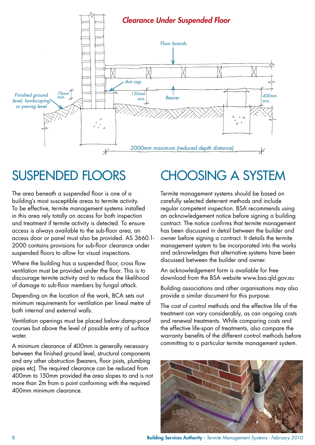

The area beneath a suspended floor is one of a building's most susceptible areas to termite activity. To be effective, termite management systems installed in this area rely totally on access for both inspection and treatment if termite activity is detected. To ensure access is always available to the sub-floor area, an access door or panel must also be provided. AS 3660.1- 2000 contains provisions for sub-floor clearance under suspended floors to allow for visual inspections.

Where the building has a suspended floor, cross flow ventilation must be provided under the floor. This is to discourage termite activity and to reduce the likelihood of damage to sub-floor members by fungal attack.

Depending on the location of the work, BCA sets out minimum requirements for ventilation per lineal metre of both internal and external walls.

Ventilation openings must be placed below damp-proof courses but above the level of possible entry of surface water.

A minimum clearance of 400mm is generally necessary between the finished ground level, structural components and any other obstruction (bearers, floor joists, plumbing pipes etc). The required clearance can be reduced from 400mm to 150mm provided the area slopes to and is not more than 2m from a point conforming with the required 400mm minimum clearance.

### SUSPENDED FLOORS CHOOSING A SYSTEM

Termite management systems should be based on carefully selected deterrent methods and include regular competent inspection. BSA recommends using an acknowledgement notice before signing a building contract. The notice confirms that termite management has been discussed in detail between the builder and owner before signing a contract. It details the termite management system to be incorporated into the works and acknowledges that alternative systems have been discussed between the builder and owner.

An acknowledgement form is available for free download from the BSA website www.bsa.qld.gov.au

Building associations and other organisations may also provide a similar document for this purpose.

The cost of control methods and the effective life of the treatment can vary considerably, as can ongoing costs and renewal treatments. While comparing costs and the effective life-span of treatments, also compare the warranty benefits of the different control methods before committing to a particular termite management system.



8 Building Services Authority - *Termite Management Systems - February 2010*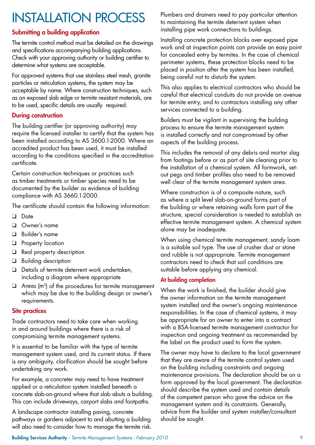## INSTALLATION PROCESS

#### Submitting a building application

The termite control method must be detailed on the drawings and specifications accompanying building applications. Check with your approving authority or building certifier to determine what systems are acceptable.

For approved systems that use stainless steel mesh, granite particles or reticulation systems, the system may be acceptable by name. Where construction techniques, such as an exposed slab edge or termite resistant materials, are to be used, specific details are usually required.

#### During construction

The building certifier (or approving authority) may require the licensed installer to certify that the system has been installed according to AS 3600.1-2000. Where an accredited product has been used, it must be installed according to the conditions specified in the accreditation certificate.

Certain construction techniques or practices such as timber treatments or timber species need to be documented by the builder as evidence of building compliance with AS 3660.1-2000.

The certificate should contain the following information:

- ❑ Date
- ❑ Owner's name
- ❑ Builder's name
- ❑ Property location
- ❑ Real property description
- ❑ Building description
- ❑ Details of termite deterrent work undertaken, including a diagram where appropriate
- $\Box$  Areas (m<sup>2</sup>) of the procedures for termite management which may be due to the building design or owner's requirements.

#### Site practices

Trade contractors need to take care when working in and around buildings where there is a risk of compromising termite management systems.

It is essential to be familiar with the type of termite management system used, and its current status. If there is any ambiguity, clarification should be sought before undertaking any work.

For example, a concreter may need to have treatment applied or a reticulation system installed beneath a concrete slab-on-ground where that slab abuts a building. This can include driveways, carport slabs and footpaths.

A landscape contractor installing paving, concrete pathways or gardens adjacent to and abutting a building will also need to consider how to manage the termite risk.

Plumbers and drainers need to pay particular attention to maintaining the termite deterrent system when installing pipe work connections to buildings.

Installing concrete protection blocks over exposed pipe work and at inspection points can provide an easy point for concealed entry by termites. In the case of chemical perimeter systems, these protection blocks need to be placed in position after the system has been installed, being careful not to disturb the system.

This also applies to electrical contractors who should be careful that electrical conduits do not provide an avenue for termite entry, and to contractors installing any other services connected to a building.

Builders must be vigilant in supervising the building process to ensure the termite management system is installed correctly and not compromised by other aspects of the building process.

This includes the removal of any debris and mortar slag from footings before or as part of site cleaning prior to the installation of a chemical system. All formwork, setout pegs and timber profiles also need to be removed well clear of the termite management system area.

Where construction is of a composite nature, such as where a split level slab-on-ground forms part of the building or where retaining walls form part of the structure, special consideration is needed to establish an effective termite management system. A chemical system alone may be inadequate.

When using chemical termite management, sandy loam is a suitable soil type. The use of crusher dust or stone and rubble is not appropriate. Termite management contractors need to check that soil conditions are suitable before applying any chemical.

#### At building completion

When the work is finished, the builder should give the owner information on the termite management system installed and the owner's ongoing maintenance responsibilities. In the case of chemical systems, it may be appropriate for an owner to enter into a contract with a BSA-licensed termite management contractor for inspection and ongoing treatment as recommended by the label on the product used to form the system.

The owner may have to declare to the local government that they are aware of the termite control system used on the building including constraints and ongoing maintenance provisions. The declaration should be on a form approved by the local government. The declaration should describe the system used and contain details of the competent person who gave the advice on the management system and its constraints. Generally, advice from the builder and system installer/consultant should be sought.

Building Services Authority - *Termite Management Systems - February 2010* 9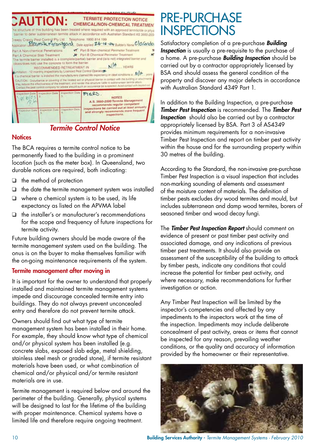

### *Termite Control Notice*

#### **Notices**

The BCA requires a termite control notice to be permanently fixed to the building in a prominent location (such as the meter box). In Queensland, two durable notices are required, both indicating:

- ❑ the method of protection
- ❑ the date the termite management system was installed
- ❑ where a chemical system is to be used, its life expectancy as listed on the APVMA label
- ❑ the installer's or manufacturer's recommendations for the scope and frequency of future inspections for termite activity.

Future building owners should be made aware of the termite management system used on the building. The onus is on the buyer to make themselves familiar with the on-going maintenance requirements of the system.

#### Termite management after moving in

It is important for the owner to understand that properly installed and maintained termite management systems impede and discourage concealed termite entry into buildings. They do not always prevent unconcealed entry and therefore do not prevent termite attack.

Owners should find out what type of termite management system has been installed in their home. For example, they should know what type of chemical and/or physical system has been installed (e.g. concrete slabs, exposed slab edge, metal shielding, stainless steel mesh or graded stone), if termite resistant materials have been used, or what combination of chemical and/or physical and/or termite resistant materials are in use.

Termite management is required below and around the perimeter of the building. Generally, physical systems will be designed to last for the lifetime of the building with proper maintenance. Chemical systems have a limited life and therefore require ongoing treatment.

### PRE-PURCHASE **INSPECTIONS**

Satisfactory completion of a pre-purchase *Building Inspection* is usually a pre-requisite to the purchase of a home. A pre-purchase *Building Inspection* should be carried out by a contractor appropriately licensed by BSA and should assess the general condition of the property and discover any major defects in accordance with Australian Standard 4349 Part 1.

In addition to the Building Inspection, a pre-purchase *Timber Pest Inspection* is recommended. The *Timber Pest Inspection* should also be carried out by a contractor appropriately licensed by BSA. Part 3 of AS4349 provides minimum requirements for a non-invasive Timber Pest Inspection and report on timber pest activity within the house and for the surrounding property within 30 metres of the building.

According to the Standard, the non-invasive pre-purchase Timber Pest Inspection is a visual inspection that includes non-marking sounding of elements and assessment of the moisture content of materials. The definition of timber pests excludes dry wood termites and mould, but includes subterranean and damp wood termites, borers of seasoned timber and wood decay fungi.

The *Timber Pest Inspection Report* should comment on evidence of present or past timber pest activity and associated damage, and any indications of previous timber pest treatments. It should also provide an assessment of the susceptibility of the building to attack by timber pests, indicate any conditions that could increase the potential for timber pest activity, and where necessary, make recommendations for further investigation or action.

Any Timber Pest Inspection will be limited by the inspector's competencies and affected by any impediments to the inspectors work at the time of the inspection. Impediments may include deliberate concealment of pest activity, areas or items that cannot be inspected for any reason, prevailing weather conditions, or the quality and accuracy of information provided by the homeowner or their representative.



10 Building Services Authority - *Termite Management Systems - February 2010*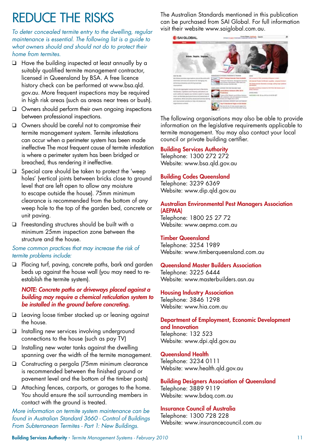### REDUCE THE RISKS

*To deter concealed termite entry to the dwelling, regular maintenance is essential. The following list is a guide to what owners should and should not do to protect their home from termites.*

- ❑ Have the building inspected at least annually by a suitably qualified termite management contractor, licensed in Queensland by BSA. A free licence history check can be performed at www.bsa.qld. gov.au. More frequent inspections may be required in high risk areas (such as areas near trees or bush).
- ❑ Owners should perform their own ongoing inspections between professional inspections.
- ❑ Owners should be careful not to compromise their termite management system. Termite infestations can occur when a perimeter system has been made ineffective The most frequent cause of termite infestation is where a perimeter system has been bridged or breached, thus rendering it ineffective.
- ❑ Special care should be taken to protect the 'weep holes' (vertical joints between bricks close to ground level that are left open to allow any moisture to escape outside the house). 75mm minimum clearance is recommended from the bottom of any weep hole to the top of the garden bed, concrete or unit paving.
- ❑ Freestanding structures should be built with a minimum 25mm inspection zone between the structure and the house.

#### *Some common practices that may increase the risk of termite problems include:*

❑ Placing turf, paving, concrete paths, bark and garden beds up against the house wall (you may need to reestablish the termite system).

#### *NOTE: Concrete paths or driveways placed against a building may require a chemical reticulation system to be installed in the ground before concreting.*

- ❑ Leaving loose timber stacked up or leaning against the house.
- ❑ Installing new services involving underground connections to the house (such as pay TV)
- ❑ Installing new water tanks against the dwelling spanning over the width of the termite management.
- ❑ Constructing a pergola (75mm minimum clearance is recommended between the finished ground or pavement level and the bottom of the timber posts)
- ❑ Attaching fences, carports, or garages to the home. You should ensure the soil surrounding members in contact with the ground is treated.

*More information on termite system maintenance can be found in Australian Standard 3660 - Control of Buildings From Subterranean Termites - Part 1: New Buildings.*

The Australian Standards mentioned in this publication can be purchased from SAI Global. For full information visit their website www.saiglobal.com.au.

| <b>SAIGLOBAL</b><br>-<br>. .                                                                                                                                                                                                                                                                                                                                                                               |                                                                                                                                                                                                                                                                                                                                                                                                                                                  | Data Light Service Control of the America                                                                                                                                                       |  |
|------------------------------------------------------------------------------------------------------------------------------------------------------------------------------------------------------------------------------------------------------------------------------------------------------------------------------------------------------------------------------------------------------------|--------------------------------------------------------------------------------------------------------------------------------------------------------------------------------------------------------------------------------------------------------------------------------------------------------------------------------------------------------------------------------------------------------------------------------------------------|-------------------------------------------------------------------------------------------------------------------------------------------------------------------------------------------------|--|
| <b>Stems, Desustive, Despit</b><br>Anni: No. 2402<br>Mike children and provide a mediatories and control and called                                                                                                                                                                                                                                                                                        | estrators profiles presented a financial<br><b>SETE Training Superinter Book door</b>                                                                                                                                                                                                                                                                                                                                                            | <b>MONEY</b><br>Dir is soon to 1976; permains of Express Links                                                                                                                                  |  |
| interments selvices and assumes be managing rest.<br>administration and strategies and strategies<br><b><i><u>Programment</u></i></b>                                                                                                                                                                                                                                                                      | hairman for Danmonto, Marinaholand Guarantee<br>arc Pricess themselved NER-also are<br><b>MEN GANADI AVAILABLE AND</b>                                                                                                                                                                                                                                                                                                                           | <b>BR (mainle Pluke) Defiltratin modifier - all some Extributi</b><br>60 State enough Spreakly shortings within their parkins.<br><b>ARTISTS</b>                                                |  |
| the provide sapergeest pieces termined to Sterntorm.<br>Newtowns, Legislation and Pinserty publications and<br>posts saids and replate and arisha's present of quality.<br>(Room are finallize good governmen and averages of<br>bergelasca, ablos and policy bacas and piccop exercity<br>and importance of the environment relationship<br>Page-Goldswick-Auditected, 1970 S. C. T. T. C. Concelled Ave. | player a stream time how that selected<br>Lee & Street Autoback (Myr 2218)<br><b>East Ave</b><br>Tombul of Talk Globald Loan & Eleiton Adults and<br>allo prebisero dal pre-solutano il manoso<br>Latinstic allifications and an independent and all 2010s<br>restaurance du februite, pointes président<br>Top 10 Standards Roger on AA/Goldal<br>Stay Harry Art Art 10 (Awar) provider spinite from<br>lar Stanlands & Trainmakirkhooses Schul | Denomination & Effects Content for \$2.0 from \$25 december 24. If<br><b>Enterio Alemando</b><br>come senio<br>FRA 645-544, CA 651-44-531, CA 65-54-54-54<br>THE R. P. LEWIS CO., LANSING MICH. |  |

The following organisations may also be able to provide information on the legislative requirements applicable to termite management. You may also contact your local council or private building certifier.

#### Building Services Authority

Telephone: 1300 272 272 Website: www.bsa.qld.gov.au

#### Building Codes Queensland

Telephone: 3239 6369 Website: www.dip.qld.gov.au

#### Australian Environmental Pest Managers Association (AEPMA)

Telephone: 1800 25 27 72 Website: www.aepma.com.au

#### Timber Queensland

Telephone: 3254 1989 Website: www.timberqueensland.com.au

#### Queensland Master Builders Association

Telephone: 3225 6444 Website: www.masterbuilders.asn.au

Housing Industry Association Telephone: 3846 1298 Website: www.hia.com.au

#### Department of Employment, Economic Development and Innovation

Telephone: 132 523 Website: www.dpi.qld.gov.au

#### Queensland Health

Telephone: 3234 0111 Website: www.health.qld.gov.au

### Building Designers Association of Queensland

Telephone: 3889 9119 Website: www.bdaq.com.au

### Insurance Council of Australia

Telephone: 1300 728 228 Website: www.insurancecouncil.com.au